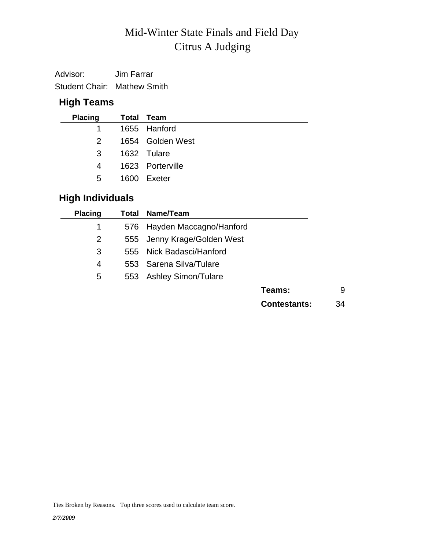# Citrus A Judging Mid-Winter State Finals and Field Day

Advisor: Jim Farrar Student Chair: Mathew Smith

### **High Teams**

| <b>Placing</b> | Total Team       |
|----------------|------------------|
| $1 \quad$      | 1655 Hanford     |
| 2              | 1654 Golden West |
| 3              | 1632 Tulare      |
| 4              | 1623 Porterville |
| 5              | 1600 Exeter      |

## **High Individuals**

| Name/Team                  |                                                                                      |
|----------------------------|--------------------------------------------------------------------------------------|
| Hayden Maccagno/Hanford    |                                                                                      |
|                            |                                                                                      |
| Nick Badasci/Hanford       |                                                                                      |
|                            |                                                                                      |
| <b>Ashley Simon/Tulare</b> |                                                                                      |
|                            | 9<br>Teams:                                                                          |
|                            | <b>Contestants:</b><br>34                                                            |
|                            | Total<br>576<br>555 Jenny Krage/Golden West<br>555<br>553 Sarena Silva/Tulare<br>553 |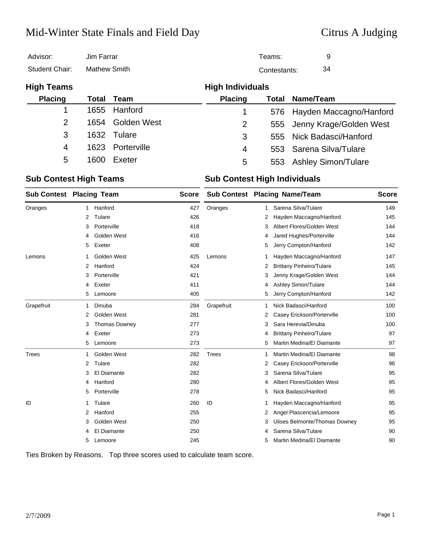## Mid-Winter State Finals and Field Day Citrus A Judging

| Advisor:          | Jim Farrar          |             |                         | Teams:       | 9                           |  |  |
|-------------------|---------------------|-------------|-------------------------|--------------|-----------------------------|--|--|
| Student Chair:    | <b>Mathew Smith</b> |             |                         | Contestants: |                             |  |  |
| <b>High Teams</b> |                     |             | <b>High Individuals</b> |              |                             |  |  |
| <b>Placing</b>    | Total               | Team        | <b>Placing</b>          | Total        | Name/Team                   |  |  |
| 1                 | 1655                | Hanford     | 1                       |              | 576 Hayden Maccagno/Hanford |  |  |
| $\overline{2}$    | 1654                | Golden West | $\overline{2}$          |              | 555 Jenny Krage/Golden West |  |  |
| 3                 | 1632                | Tulare      | 3                       |              | 555 Nick Badasci/Hanford    |  |  |
| 4                 | 1623                | Porterville | 4                       |              | 553 Sarena Silva/Tulare     |  |  |
| 5                 | 1600                | Exeter      | 5                       | 553          | <b>Ashley Simon/Tulare</b>  |  |  |
|                   |                     |             |                         |              |                             |  |  |

### **Sub Contest High Teams Sub Contest High Individuals**

| <b>Sub Contest Placing Team</b> |                |               | <b>Score</b> |              |   | <b>Sub Contest Placing Name/Team</b> | <b>Score</b> |
|---------------------------------|----------------|---------------|--------------|--------------|---|--------------------------------------|--------------|
| Oranges                         | 1              | Hanford       | 427          | Oranges      | 1 | Sarena Silva/Tulare                  | 149          |
|                                 | 2              | Tulare        | 426          |              | 2 | Hayden Maccagno/Hanford              | 145          |
|                                 | 3              | Porterville   | 418          |              | 3 | Albert Flores/Golden West            | 144          |
|                                 | 4              | Golden West   | 416          |              | 4 | Jared Hughes/Porterville             | 144          |
|                                 | 5              | Exeter        | 408          |              | 5 | Jerry Compton/Hanford                | 142          |
| Lemons                          | 1              | Golden West   | 425          | Lemons       | 1 | Hayden Maccagno/Hanford              | 147          |
|                                 | 2              | Hanford       | 424          |              | 2 | <b>Brittany Pinheiro/Tulare</b>      | 145          |
|                                 | 3              | Porterville   | 421          |              | 3 | Jenny Krage/Golden West              | 144          |
|                                 | 4              | Exeter        | 411          |              | 4 | <b>Ashley Simon/Tulare</b>           | 144          |
|                                 | 5              | Lemoore       | 405          |              | 5 | Jerry Compton/Hanford                | 142          |
| Grapefruit                      | 1              | Dinuba        | 284          | Grapefruit   | 1 | Nick Badasci/Hanford                 | 100          |
|                                 | 2              | Golden West   | 281          |              | 2 | Casey Erickson/Porterville           | 100          |
|                                 | 3              | Thomas Downey | 277          |              | 3 | Sara Herevia/Dinuba                  | 100          |
|                                 | 4              | Exeter        | 273          |              | 4 | <b>Brittany Pinheiro/Tulare</b>      | 97           |
|                                 | 5              | Lemoore       | 273          |              | 5 | Martin Medina/El Diamante            | 97           |
| Trees                           | 1              | Golden West   | 282          | <b>Trees</b> | 1 | Martin Medina/El Diamante            | 98           |
|                                 | 2              | Tulare        | 282          |              | 2 | Casey Erickson/Porterville           | 96           |
|                                 | 3              | El Diamante   | 282          |              | 3 | Sarena Silva/Tulare                  | 95           |
|                                 | 4              | Hanford       | 280          |              | 4 | Albert Flores/Golden West            | 95           |
|                                 | 5              | Porterville   | 278          |              | 5 | Nick Badasci/Hanford                 | 95           |
| ID                              | 1              | Tulare        | 260          | ID           | 1 | Hayden Maccagno/Hanford              | 95           |
|                                 | $\overline{2}$ | Hanford       | 255          |              | 2 | Angel Plascencia/Lemoore             | 95           |
|                                 | 3              | Golden West   | 250          |              | 3 | <b>Ulises Belmonte/Thomas Downey</b> | 95           |
|                                 | 4              | El Diamante   | 250          |              | 4 | Sarena Silva/Tulare                  | 90           |
|                                 | 5              | Lemoore       | 245          |              | 5 | Martin Medina/El Diamante            | 90           |

Ties Broken by Reasons. Top three scores used to calculate team score.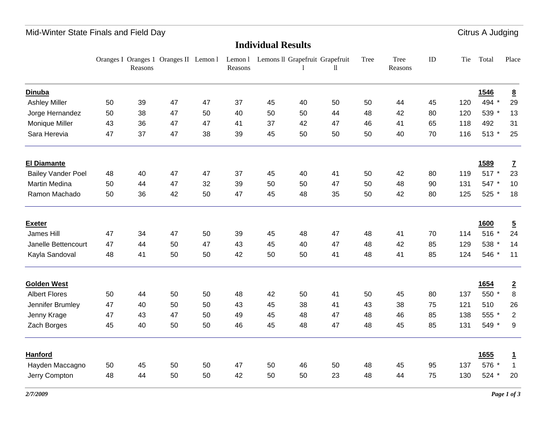## Mid-Winter State Finals and Field Day **Citrus A** Judging

### **Individual Results**

|                           |    | Reasons | Oranges I Oranges 1 Oranges II Lemon 1 |    | Reasons |    | Lemon 1 Lemons II Grapefruit Grapefruit | 11 | Tree | Tree<br>Reasons | ID | Tie | Total       | Place            |
|---------------------------|----|---------|----------------------------------------|----|---------|----|-----------------------------------------|----|------|-----------------|----|-----|-------------|------------------|
| <b>Dinuba</b>             |    |         |                                        |    |         |    |                                         |    |      |                 |    |     | 1546        | $\underline{8}$  |
| <b>Ashley Miller</b>      | 50 | 39      | 47                                     | 47 | 37      | 45 | 40                                      | 50 | 50   | 44              | 45 | 120 | 494 *       | 29               |
| Jorge Hernandez           | 50 | 38      | 47                                     | 50 | 40      | 50 | 50                                      | 44 | 48   | 42              | 80 | 120 | 539 *       | 13               |
| Monique Miller            | 43 | 36      | 47                                     | 47 | 41      | 37 | 42                                      | 47 | 46   | 41              | 65 | 118 | 492         | 31               |
| Sara Herevia              | 47 | 37      | 47                                     | 38 | 39      | 45 | 50                                      | 50 | 50   | 40              | 70 | 116 | 513 *       | 25               |
| <b>El Diamante</b>        |    |         |                                        |    |         |    |                                         |    |      |                 |    |     | <b>1589</b> | $\mathbf{Z}$     |
| <b>Bailey Vander Poel</b> | 48 | 40      | 47                                     | 47 | 37      | 45 | 40                                      | 41 | 50   | 42              | 80 | 119 | 517 *       | 23               |
| Martin Medina             | 50 | 44      | 47                                     | 32 | 39      | 50 | 50                                      | 47 | 50   | 48              | 90 | 131 | 547 *       | 10               |
| Ramon Machado             | 50 | 36      | 42                                     | 50 | 47      | 45 | 48                                      | 35 | 50   | 42              | 80 | 125 | 525 *       | 18               |
| <b>Exeter</b>             |    |         |                                        |    |         |    |                                         |    |      |                 |    |     | 1600        | $\overline{5}$   |
| James Hill                | 47 | 34      | 47                                     | 50 | 39      | 45 | 48                                      | 47 | 48   | 41              | 70 | 114 | 516 *       | 24               |
| Janelle Bettencourt       | 47 | 44      | 50                                     | 47 | 43      | 45 | 40                                      | 47 | 48   | 42              | 85 | 129 | 538 *       | 14               |
| Kayla Sandoval            | 48 | 41      | 50                                     | 50 | 42      | 50 | 50                                      | 41 | 48   | 41              | 85 | 124 | 546 *       | 11               |
| <b>Golden West</b>        |    |         |                                        |    |         |    |                                         |    |      |                 |    |     | 1654        | $\overline{2}$   |
| <b>Albert Flores</b>      | 50 | 44      | 50                                     | 50 | 48      | 42 | 50                                      | 41 | 50   | 45              | 80 | 137 | 550 *       | $\,8\,$          |
| Jennifer Brumley          | 47 | 40      | 50                                     | 50 | 43      | 45 | 38                                      | 41 | 43   | 38              | 75 | 121 | 510         | 26               |
| Jenny Krage               | 47 | 43      | 47                                     | 50 | 49      | 45 | 48                                      | 47 | 48   | 46              | 85 | 138 | 555 *       | $\overline{2}$   |
| Zach Borges               | 45 | 40      | 50                                     | 50 | 46      | 45 | 48                                      | 47 | 48   | 45              | 85 | 131 | 549 *       | $\boldsymbol{9}$ |
| Hanford                   |    |         |                                        |    |         |    |                                         |    |      |                 |    |     | 1655        | $\overline{1}$   |
| Hayden Maccagno           | 50 | 45      | 50                                     | 50 | 47      | 50 | 46                                      | 50 | 48   | 45              | 95 | 137 | 576 *       | $\mathbf{1}$     |
| Jerry Compton             | 48 | 44      | 50                                     | 50 | 42      | 50 | 50                                      | 23 | 48   | 44              | 75 | 130 | 524 *       | 20               |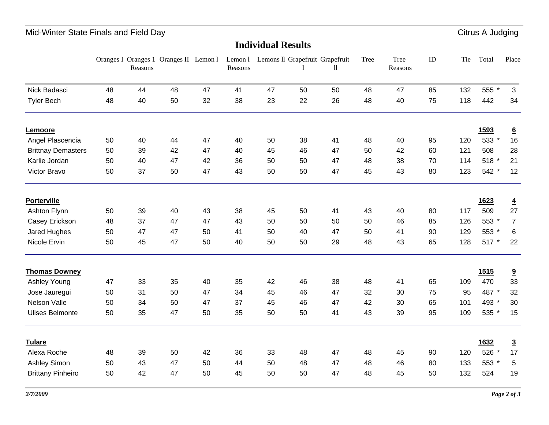## Mid-Winter State Finals and Field Day **Citrus A** Judging

|                           |    | Reasons | Oranges I Oranges 1 Oranges II Lemon 1 |    | Lemon 1<br>Reasons |    |    | Lemons II Grapefruit Grapefruit<br>$\mathbf l$ | Tree | Tree<br>Reasons | ID | Tie | Total       | Place                |
|---------------------------|----|---------|----------------------------------------|----|--------------------|----|----|------------------------------------------------|------|-----------------|----|-----|-------------|----------------------|
| Nick Badasci              | 48 | 44      | 48                                     | 47 | 41                 | 47 | 50 | 50                                             | 48   | 47              | 85 | 132 | 555 *       | 3                    |
| <b>Tyler Bech</b>         | 48 | 40      | 50                                     | 32 | 38                 | 23 | 22 | 26                                             | 48   | 40              | 75 | 118 | 442         | 34                   |
| Lemoore                   |    |         |                                        |    |                    |    |    |                                                |      |                 |    |     | 1593        | $\underline{6}$      |
| Angel Plascencia          | 50 | 40      | 44                                     | 47 | 40                 | 50 | 38 | 41                                             | 48   | 40              | 95 | 120 | 533 *       | 16                   |
| <b>Brittnay Demasters</b> | 50 | 39      | 42                                     | 47 | 40                 | 45 | 46 | 47                                             | 50   | 42              | 60 | 121 | 508         | 28                   |
| Karlie Jordan             | 50 | 40      | 47                                     | 42 | 36                 | 50 | 50 | 47                                             | 48   | 38              | 70 | 114 | 518 *       | 21                   |
| Victor Bravo              | 50 | 37      | 50                                     | 47 | 43                 | 50 | 50 | 47                                             | 45   | 43              | 80 | 123 | 542 *       | 12                   |
| <b>Porterville</b>        |    |         |                                        |    |                    |    |    |                                                |      |                 |    |     | 1623        | $\overline{4}$       |
| Ashton Flynn              | 50 | 39      | 40                                     | 43 | 38                 | 45 | 50 | 41                                             | 43   | 40              | 80 | 117 | 509         | 27                   |
| Casey Erickson            | 48 | 37      | 47                                     | 47 | 43                 | 50 | 50 | 50                                             | 50   | 46              | 85 | 126 | 553 *       | $\overline{7}$       |
| Jared Hughes              | 50 | 47      | 47                                     | 50 | 41                 | 50 | 40 | 47                                             | 50   | 41              | 90 | 129 | 553 *       | 6                    |
| Nicole Ervin              | 50 | 45      | 47                                     | 50 | 40                 | 50 | 50 | 29                                             | 48   | 43              | 65 | 128 | 517 *       | 22                   |
| <b>Thomas Downey</b>      |    |         |                                        |    |                    |    |    |                                                |      |                 |    |     | <b>1515</b> | 9                    |
| Ashley Young              | 47 | 33      | 35                                     | 40 | 35                 | 42 | 46 | 38                                             | 48   | 41              | 65 | 109 | 470         | 33                   |
| Jose Jauregui             | 50 | 31      | 50                                     | 47 | 34                 | 45 | 46 | 47                                             | 32   | 30              | 75 | 95  | 487 *       | 32                   |
| Nelson Valle              | 50 | 34      | 50                                     | 47 | 37                 | 45 | 46 | 47                                             | 42   | 30              | 65 | 101 | 493 *       | 30                   |
| <b>Ulises Belmonte</b>    | 50 | 35      | 47                                     | 50 | 35                 | 50 | 50 | 41                                             | 43   | 39              | 95 | 109 | 535 *       | 15                   |
| <b>Tulare</b>             |    |         |                                        |    |                    |    |    |                                                |      |                 |    |     | 1632        |                      |
| Alexa Roche               | 48 | 39      | 50                                     | 42 | 36                 | 33 | 48 | 47                                             | 48   | 45              | 90 | 120 | 526 *       | $\overline{3}$<br>17 |
| Ashley Simon              | 50 | 43      | 47                                     | 50 | 44                 | 50 | 48 | 47                                             | 48   | 46              | 80 | 133 | 553 *       | 5                    |
| <b>Brittany Pinheiro</b>  | 50 | 42      | 47                                     | 50 | 45                 | 50 | 50 | 47                                             | 48   | 45              | 50 | 132 | 524         | 19                   |
|                           |    |         |                                        |    |                    |    |    |                                                |      |                 |    |     |             |                      |

**Individual Results**